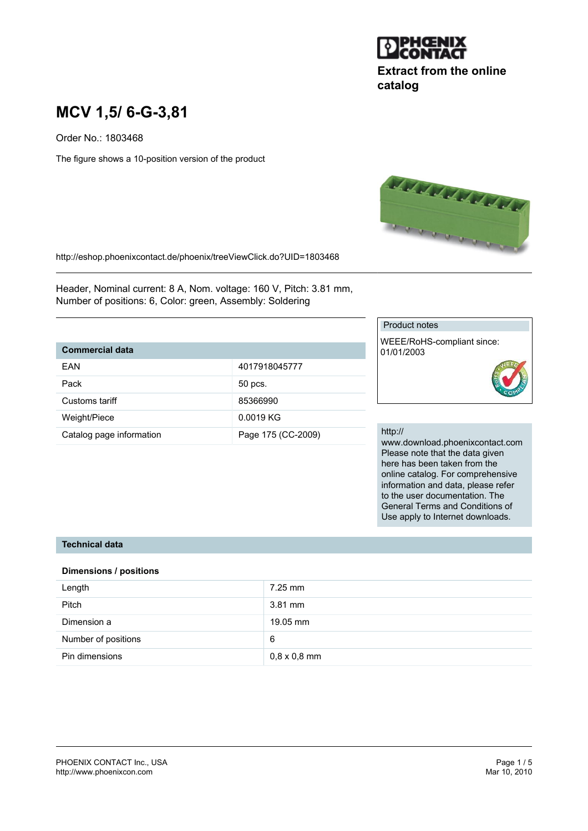

# **Extract from the online catalog**

# **MCV 1,5/ 6-G-3,81**

Order No.: 1803468

The figure shows a 10-position version of the product



http://eshop.phoenixcontact.de/phoenix/treeViewClick.do?UID=1803468

Header, Nominal current: 8 A, Nom. voltage: 160 V, Pitch: 3.81 mm, Number of positions: 6, Color: green, Assembly: Soldering

### **Commercial data**

| <b>FAN</b>               | 4017918045777      |
|--------------------------|--------------------|
| Pack                     | 50 pcs.            |
| Customs tariff           | 85366990           |
| Weight/Piece             | 0.0019 KG          |
| Catalog page information | Page 175 (CC-2009) |

#### Product notes

WEEE/RoHS-compliant since: 01/01/2003

#### http://

www.download.phoenixcontact.com Please note that the data given here has been taken from the online catalog. For comprehensive information and data, please refer to the user documentation. The General Terms and Conditions of Use apply to Internet downloads.

#### **Technical data**

#### **Dimensions / positions**

| Length              | $7.25$ mm           |
|---------------------|---------------------|
| <b>Pitch</b>        | $3.81$ mm           |
| Dimension a         | 19.05 mm            |
| Number of positions | 6                   |
| Pin dimensions      | $0.8 \times 0.8$ mm |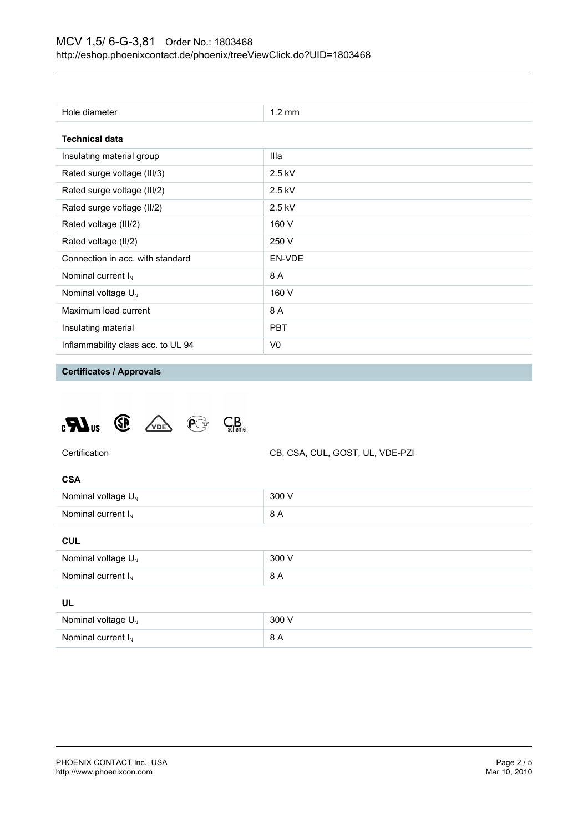| Hole diameter                      | $1.2 \text{ mm}$ |
|------------------------------------|------------------|
| <b>Technical data</b>              |                  |
| Insulating material group          | Illa             |
| Rated surge voltage (III/3)        | $2.5$ kV         |
| Rated surge voltage (III/2)        | $2.5$ kV         |
| Rated surge voltage (II/2)         | $2.5$ kV         |
| Rated voltage (III/2)              | 160 V            |
| Rated voltage (II/2)               | 250 V            |
| Connection in acc. with standard   | EN-VDE           |
| Nominal current $I_N$              | 8 A              |
| Nominal voltage $U_N$              | 160 V            |
| Maximum load current               | 8 A              |
| Insulating material                | <b>PBT</b>       |
| Inflammability class acc. to UL 94 | V0               |

**Certificates / Approvals**





| ۰.<br>× |  |
|---------|--|

| Nominal voltage $U_{N}$ | 300 V |
|-------------------------|-------|
| Nominal current $I_{N}$ | 8 A   |
|                         |       |

#### **CUL**

| Nominal voltage $U_N$ | 300 V |
|-----------------------|-------|
| Nominal current $I_N$ | 8 A   |
| UL                    |       |
| Nominal voltage $U_N$ | 300 V |
| Nominal current $I_N$ | 8 A   |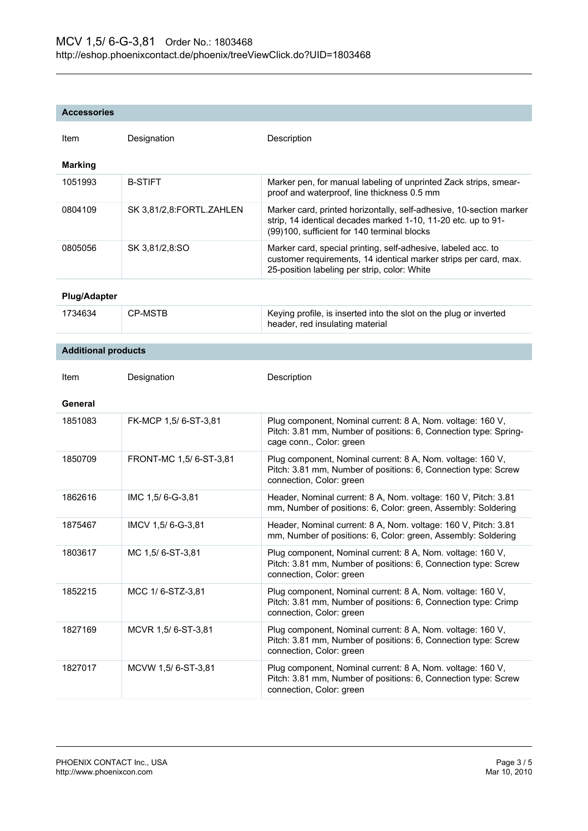#### **Accessories**

| Item                       | Designation              | Description                                                                                                                                                                         |
|----------------------------|--------------------------|-------------------------------------------------------------------------------------------------------------------------------------------------------------------------------------|
| Marking                    |                          |                                                                                                                                                                                     |
| 1051993                    | <b>B-STIFT</b>           | Marker pen, for manual labeling of unprinted Zack strips, smear-<br>proof and waterproof, line thickness 0.5 mm                                                                     |
| 0804109                    | SK 3,81/2,8:FORTL.ZAHLEN | Marker card, printed horizontally, self-adhesive, 10-section marker<br>strip, 14 identical decades marked 1-10, 11-20 etc. up to 91-<br>(99)100, sufficient for 140 terminal blocks |
| 0805056                    | SK 3,81/2,8:SO           | Marker card, special printing, self-adhesive, labeled acc. to<br>customer requirements, 14 identical marker strips per card, max.<br>25-position labeling per strip, color: White   |
| <b>Plug/Adapter</b>        |                          |                                                                                                                                                                                     |
| 1734634                    | <b>CP-MSTB</b>           | Keying profile, is inserted into the slot on the plug or inverted<br>header, red insulating material                                                                                |
| <b>Additional products</b> |                          |                                                                                                                                                                                     |
|                            |                          |                                                                                                                                                                                     |
| Item                       | Designation              | Description                                                                                                                                                                         |
| General                    |                          |                                                                                                                                                                                     |
| 1851083                    | FK-MCP 1,5/6-ST-3,81     | Plug component, Nominal current: 8 A, Nom. voltage: 160 V,<br>Pitch: 3.81 mm, Number of positions: 6, Connection type: Spring-<br>cage conn., Color: green                          |
| 1850709                    | FRONT-MC 1,5/6-ST-3,81   | Plug component, Nominal current: 8 A, Nom. voltage: 160 V,<br>Pitch: 3.81 mm, Number of positions: 6, Connection type: Screw<br>connection, Color: green                            |
| 1862616                    | IMC 1,5/6-G-3,81         | Header, Nominal current: 8 A, Nom. voltage: 160 V, Pitch: 3.81<br>mm, Number of positions: 6, Color: green, Assembly: Soldering                                                     |
| 1875467                    | IMCV 1,5/6-G-3,81        | Header, Nominal current: 8 A, Nom. voltage: 160 V, Pitch: 3.81<br>mm, Number of positions: 6, Color: green, Assembly: Soldering                                                     |
| 1803617                    | MC 1,5/6-ST-3,81         | Plug component, Nominal current: 8 A, Nom. voltage: 160 V,<br>Pitch: 3.81 mm, Number of positions: 6, Connection type: Screw<br>connection, Color: green                            |
| 1852215                    | MCC 1/6-STZ-3,81         | Plug component, Nominal current: 8 A, Nom. voltage: 160 V,<br>Pitch: 3.81 mm, Number of positions: 6, Connection type: Crimp<br>connection, Color: green                            |
| 1827169                    | MCVR 1,5/ 6-ST-3,81      | Plug component, Nominal current: 8 A, Nom. voltage: 160 V,<br>Pitch: 3.81 mm, Number of positions: 6, Connection type: Screw<br>connection, Color: green                            |
| 1827017                    | MCVW 1,5/6-ST-3,81       | Plug component, Nominal current: 8 A, Nom. voltage: 160 V,<br>Pitch: 3.81 mm, Number of positions: 6, Connection type: Screw<br>connection, Color: green                            |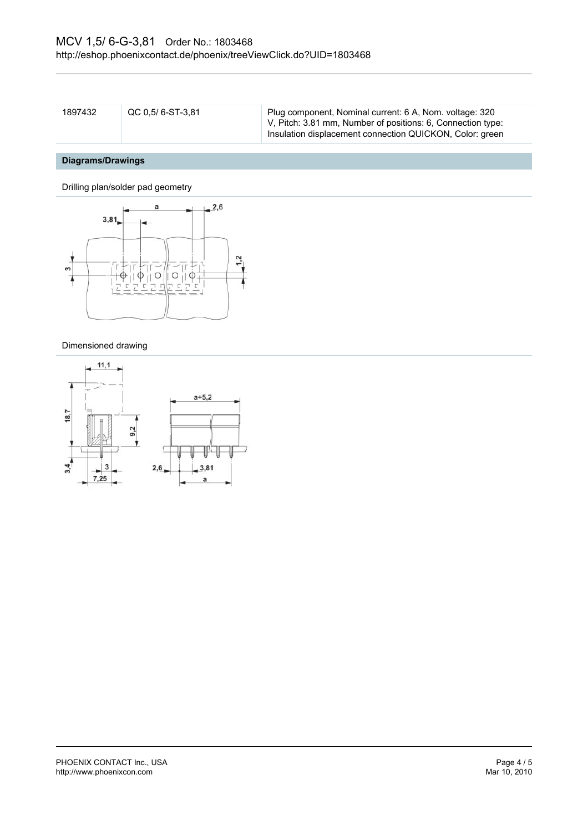| 1897432 | QC 0.5/ 6-ST-3.81 | Plug component, Nominal current: 6 A, Nom. voltage: 320     |
|---------|-------------------|-------------------------------------------------------------|
|         |                   | V, Pitch: 3.81 mm, Number of positions: 6, Connection type: |
|         |                   | Insulation displacement connection QUICKON, Color: green    |

## **Diagrams/Drawings**

Drilling plan/solder pad geometry



#### Dimensioned drawing